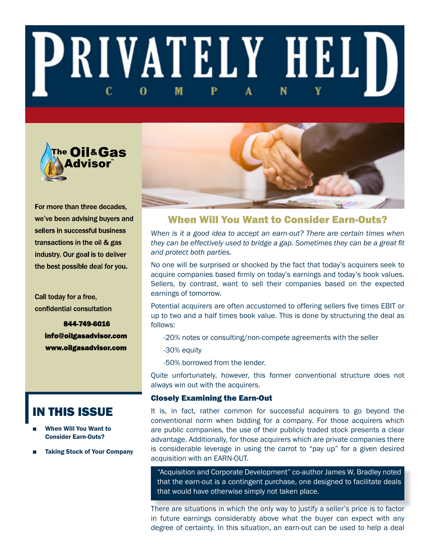# **PRIVATELY HELD** M 0



For more than three decades. we've been advising buyers and sellers in successful business transactions in the oil & gas industry. Our goal is to deliver the best possible deal for you.

Call today for a free, confidential consultation

> 844-749-6016 info@oilgasadvisor.com www.oilgasadvisor.com

# IN THIS ISSUE

- When Will You Want to Consider Earn-Outs?
- **Taking Stock of Your Company**



# When Will You Want to Consider Earn-Outs?

*When is it a good idea to accept an earn-out? There are certain times when they can be effectively used to bridge a gap. Sometimes they can be a great fit and protect both parties.* 

No one will be surprised or shocked by the fact that today's acquirers seek to acquire companies based firmly on today's earnings and today's book values. Sellers, by contrast, want to sell their companies based on the expected earnings of tomorrow.

Potential acquirers are often accustomed to offering sellers five times EBIT or up to two and a half times book value. This is done by structuring the deal as follows:

-20% notes or consulting/non-compete agreements with the seller

-30% equity

-50% borrowed from the lender.

Quite unfortunately, however, this former conventional structure does not always win out with the acquirers.

## Closely Examining the Earn-Out

It is, in fact, rather common for successful acquirers to go beyond the conventional norm when bidding for a company. For those acquirers which are public companies, the use of their publicly traded stock presents a clear advantage. Additionally, for those acquirers which are private companies there is considerable leverage in using the carrot to "pay up" for a given desired acquisition with an EARN-OUT.

"Acquisition and Corporate Development" co-author James W. Bradley noted that the earn-out is a contingent purchase, one designed to facilitate deals that would have otherwise simply not taken place.

There are situations in which the only way to justify a seller's price is to factor in future earnings considerably above what the buyer can expect with any degree of certainty. In this situation, an earn-out can be used to help a deal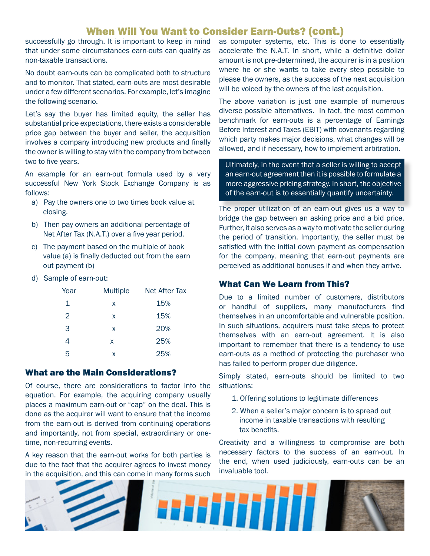# When Will You Want to Consider Earn-Outs? (cont.)

successfully go through. It is important to keep in mind that under some circumstances earn-outs can qualify as non-taxable transactions.

No doubt earn-outs can be complicated both to structure and to monitor. That stated, earn-outs are most desirable under a few different scenarios. For example, let's imagine the following scenario.

Let's say the buyer has limited equity, the seller has substantial price expectations, there exists a considerable price gap between the buyer and seller, the acquisition involves a company introducing new products and finally the owner is willing to stay with the company from between two to five years.

An example for an earn-out formula used by a very successful New York Stock Exchange Company is as follows:

- a) Pay the owners one to two times book value at closing.
- b) Then pay owners an additional percentage of Net After Tax (N.A.T.) over a five year period.
- c) The payment based on the multiple of book value (a) is finally deducted out from the earn out payment (b)
- d) Sample of earn-out:

| Year | <b>Multiple</b> | <b>Net After Tax</b> |
|------|-----------------|----------------------|
| 1    | x               | 15%                  |
| 2    | x               | 15%                  |
| 3    | x               | 20%                  |
| 4    | x               | 25%                  |
| 5    | x               | 25%                  |

## What are the Main Considerations?

Of course, there are considerations to factor into the equation. For example, the acquiring company usually places a maximum earn-out or "cap" on the deal. This is done as the acquirer will want to ensure that the income from the earn-out is derived from continuing operations and importantly, not from special, extraordinary or onetime, non-recurring events.

A key reason that the earn-out works for both parties is due to the fact that the acquirer agrees to invest money in the acquisition, and this can come in many forms such as computer systems, etc. This is done to essentially accelerate the N.A.T. In short, while a definitive dollar amount is not pre-determined, the acquirer is in a position where he or she wants to take every step possible to please the owners, as the success of the next acquisition will be voiced by the owners of the last acquisition.

The above variation is just one example of numerous diverse possible alternatives. In fact, the most common benchmark for earn-outs is a percentage of Earnings Before Interest and Taxes (EBIT) with covenants regarding which party makes major decisions, what changes will be allowed, and if necessary, how to implement arbitration.

Ultimately, in the event that a seller is willing to accept an earn-out agreement then it is possible to formulate a more aggressive pricing strategy. In short, the objective of the earn-out is to essentially quantify uncertainty.

The proper utilization of an earn-out gives us a way to bridge the gap between an asking price and a bid price. Further, it also serves as a way to motivate the seller during the period of transition. Importantly, the seller must be satisfied with the initial down payment as compensation for the company, meaning that earn-out payments are perceived as additional bonuses if and when they arrive.

## What Can We Learn from This?

Due to a limited number of customers, distributors or handful of suppliers, many manufacturers find themselves in an uncomfortable and vulnerable position. In such situations, acquirers must take steps to protect themselves with an earn-out agreement. It is also important to remember that there is a tendency to use earn-outs as a method of protecting the purchaser who has failed to perform proper due diligence.

Simply stated, earn-outs should be limited to two situations:

- 1. Offering solutions to legitimate differences
- 2. When a seller's major concern is to spread out income in taxable transactions with resulting tax benefits.

Creativity and a willingness to compromise are both necessary factors to the success of an earn-out. In the end, when used judiciously, earn-outs can be an invaluable tool.

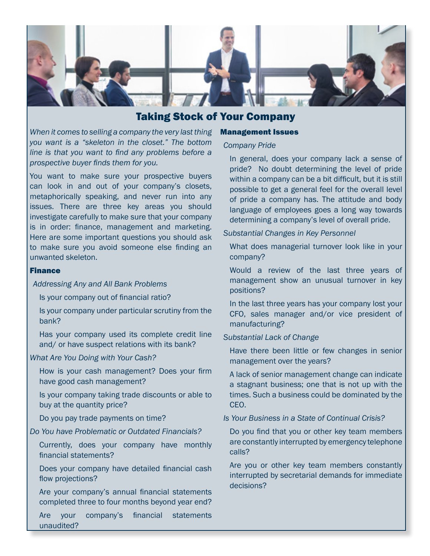

# Taking Stock of Your Company

*When it comes to selling a company the very last thing you want is a "skeleton in the closet." The bottom line is that you want to find any problems before a prospective buyer finds them for you.*

You want to make sure your prospective buyers can look in and out of your company's closets, metaphorically speaking, and never run into any issues. There are three key areas you should investigate carefully to make sure that your company is in order: finance, management and marketing. Here are some important questions you should ask to make sure you avoid someone else finding an unwanted skeleton.

#### Finance

#### *Addressing Any and All Bank Problems*

Is your company out of financial ratio?

Is your company under particular scrutiny from the bank?

Has your company used its complete credit line and/ or have suspect relations with its bank?

#### *What Are You Doing with Your Cash?*

How is your cash management? Does your firm have good cash management?

Is your company taking trade discounts or able to buy at the quantity price?

Do you pay trade payments on time?

*Do You have Problematic or Outdated Financials?* 

Currently, does your company have monthly financial statements?

Does your company have detailed financial cash flow projections?

Are your company's annual financial statements completed three to four months beyond year end?

Are your company's financial statements unaudited?

#### Management Issues

#### *Company Pride*

In general, does your company lack a sense of pride? No doubt determining the level of pride within a company can be a bit difficult, but it is still possible to get a general feel for the overall level of pride a company has. The attitude and body language of employees goes a long way towards determining a company's level of overall pride.

#### *Substantial Changes in Key Personnel*

What does managerial turnover look like in your company?

Would a review of the last three years of management show an unusual turnover in key positions?

In the last three years has your company lost your CFO, sales manager and/or vice president of manufacturing?

#### *Substantial Lack of Change*

Have there been little or few changes in senior management over the years?

A lack of senior management change can indicate a stagnant business; one that is not up with the times. Such a business could be dominated by the CEO.

*Is Your Business in a State of Continual Crisis?*

Do you find that you or other key team members are constantly interrupted by emergency telephone calls?

Are you or other key team members constantly interrupted by secretarial demands for immediate decisions?